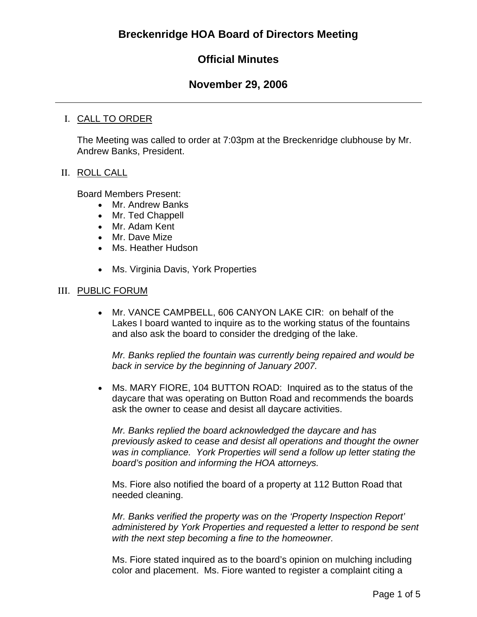# **Official Minutes**

# **November 29, 2006**

# I. CALL TO ORDER

The Meeting was called to order at 7:03pm at the Breckenridge clubhouse by Mr. Andrew Banks, President.

## II. ROLL CALL

Board Members Present:

- Mr. Andrew Banks
- Mr. Ted Chappell
- Mr. Adam Kent
- Mr. Dave Mize
- Ms. Heather Hudson
- Ms. Virginia Davis, York Properties

## III. PUBLIC FORUM

• Mr. VANCE CAMPBELL, 606 CANYON LAKE CIR: on behalf of the Lakes I board wanted to inquire as to the working status of the fountains and also ask the board to consider the dredging of the lake.

*Mr. Banks replied the fountain was currently being repaired and would be back in service by the beginning of January 2007.* 

• Ms. MARY FIORE, 104 BUTTON ROAD: Inquired as to the status of the daycare that was operating on Button Road and recommends the boards ask the owner to cease and desist all daycare activities.

*Mr. Banks replied the board acknowledged the daycare and has previously asked to cease and desist all operations and thought the owner was in compliance. York Properties will send a follow up letter stating the board's position and informing the HOA attorneys.* 

Ms. Fiore also notified the board of a property at 112 Button Road that needed cleaning.

*Mr. Banks verified the property was on the 'Property Inspection Report' administered by York Properties and requested a letter to respond be sent with the next step becoming a fine to the homeowner.* 

Ms. Fiore stated inquired as to the board's opinion on mulching including color and placement. Ms. Fiore wanted to register a complaint citing a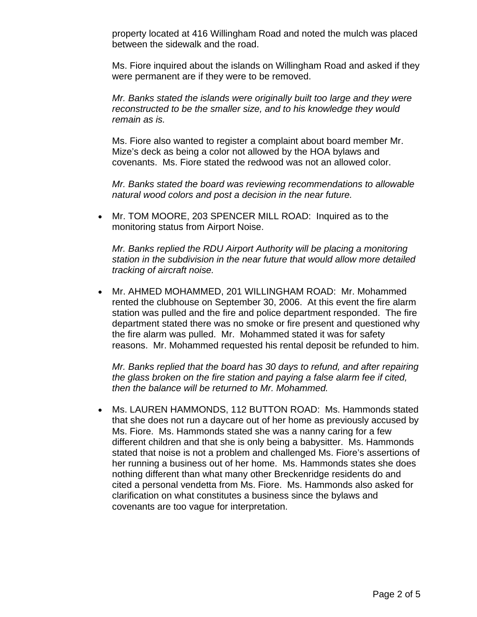property located at 416 Willingham Road and noted the mulch was placed between the sidewalk and the road.

Ms. Fiore inquired about the islands on Willingham Road and asked if they were permanent are if they were to be removed.

*Mr. Banks stated the islands were originally built too large and they were reconstructed to be the smaller size, and to his knowledge they would remain as is.* 

Ms. Fiore also wanted to register a complaint about board member Mr. Mize's deck as being a color not allowed by the HOA bylaws and covenants. Ms. Fiore stated the redwood was not an allowed color.

*Mr. Banks stated the board was reviewing recommendations to allowable natural wood colors and post a decision in the near future.* 

• Mr. TOM MOORE, 203 SPENCER MILL ROAD: Inquired as to the monitoring status from Airport Noise.

*Mr. Banks replied the RDU Airport Authority will be placing a monitoring station in the subdivision in the near future that would allow more detailed tracking of aircraft noise.* 

• Mr. AHMED MOHAMMED, 201 WILLINGHAM ROAD: Mr. Mohammed rented the clubhouse on September 30, 2006. At this event the fire alarm station was pulled and the fire and police department responded. The fire department stated there was no smoke or fire present and questioned why the fire alarm was pulled. Mr. Mohammed stated it was for safety reasons. Mr. Mohammed requested his rental deposit be refunded to him.

*Mr. Banks replied that the board has 30 days to refund, and after repairing the glass broken on the fire station and paying a false alarm fee if cited, then the balance will be returned to Mr. Mohammed.* 

• Ms. LAUREN HAMMONDS, 112 BUTTON ROAD: Ms. Hammonds stated that she does not run a daycare out of her home as previously accused by Ms. Fiore. Ms. Hammonds stated she was a nanny caring for a few different children and that she is only being a babysitter. Ms. Hammonds stated that noise is not a problem and challenged Ms. Fiore's assertions of her running a business out of her home. Ms. Hammonds states she does nothing different than what many other Breckenridge residents do and cited a personal vendetta from Ms. Fiore. Ms. Hammonds also asked for clarification on what constitutes a business since the bylaws and covenants are too vague for interpretation.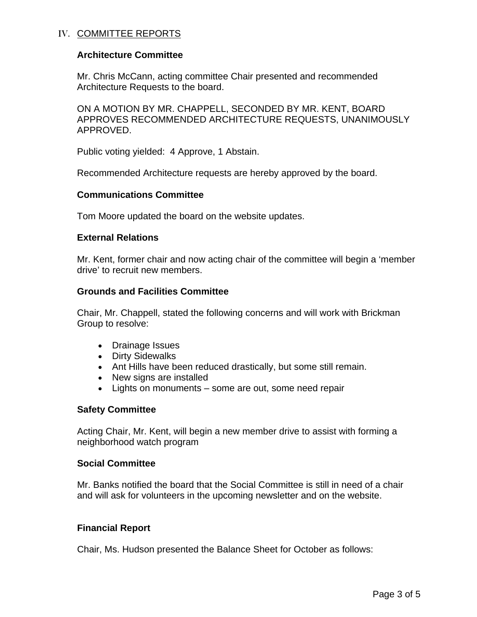## IV. COMMITTEE REPORTS

## **Architecture Committee**

Mr. Chris McCann, acting committee Chair presented and recommended Architecture Requests to the board.

ON A MOTION BY MR. CHAPPELL, SECONDED BY MR. KENT, BOARD APPROVES RECOMMENDED ARCHITECTURE REQUESTS, UNANIMOUSLY APPROVED.

Public voting yielded: 4 Approve, 1 Abstain.

Recommended Architecture requests are hereby approved by the board.

#### **Communications Committee**

Tom Moore updated the board on the website updates.

#### **External Relations**

Mr. Kent, former chair and now acting chair of the committee will begin a 'member drive' to recruit new members.

#### **Grounds and Facilities Committee**

Chair, Mr. Chappell, stated the following concerns and will work with Brickman Group to resolve:

- Drainage Issues
- Dirty Sidewalks
- Ant Hills have been reduced drastically, but some still remain.
- New signs are installed
- Lights on monuments some are out, some need repair

#### **Safety Committee**

Acting Chair, Mr. Kent, will begin a new member drive to assist with forming a neighborhood watch program

#### **Social Committee**

Mr. Banks notified the board that the Social Committee is still in need of a chair and will ask for volunteers in the upcoming newsletter and on the website.

### **Financial Report**

Chair, Ms. Hudson presented the Balance Sheet for October as follows: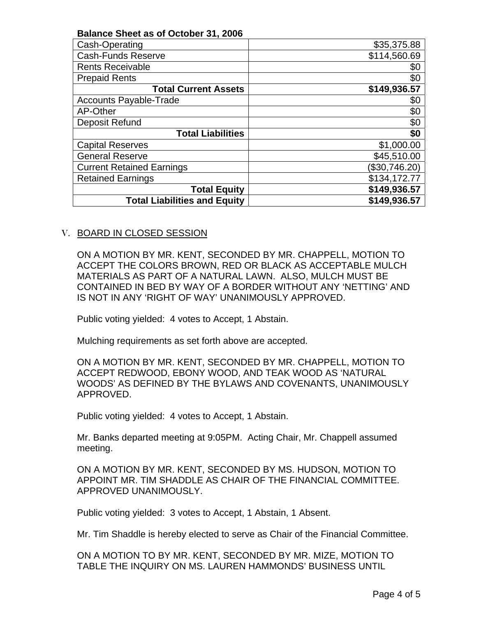| <b>Balance Sheet as of October 31, 2006</b> |              |
|---------------------------------------------|--------------|
| Cash-Operating                              | \$35,375.88  |
| <b>Cash-Funds Reserve</b>                   | \$114,560.69 |
| <b>Rents Receivable</b>                     | \$0          |
| <b>Prepaid Rents</b>                        | \$0          |
| <b>Total Current Assets</b>                 | \$149,936.57 |
| <b>Accounts Payable-Trade</b>               | \$0          |
| AP-Other                                    | \$0          |
| Deposit Refund                              | \$0          |
| <b>Total Liabilities</b>                    | \$0          |
| <b>Capital Reserves</b>                     | \$1,000.00   |
| <b>General Reserve</b>                      | \$45,510.00  |
| <b>Current Retained Earnings</b>            | \$30,746.20  |
| <b>Retained Earnings</b>                    | \$134,172.77 |
| <b>Total Equity</b>                         | \$149,936.57 |
| <b>Total Liabilities and Equity</b>         | \$149,936.57 |

#### V. BOARD IN CLOSED SESSION

ON A MOTION BY MR. KENT, SECONDED BY MR. CHAPPELL, MOTION TO ACCEPT THE COLORS BROWN, RED OR BLACK AS ACCEPTABLE MULCH MATERIALS AS PART OF A NATURAL LAWN. ALSO, MULCH MUST BE CONTAINED IN BED BY WAY OF A BORDER WITHOUT ANY 'NETTING' AND IS NOT IN ANY 'RIGHT OF WAY' UNANIMOUSLY APPROVED.

Public voting yielded: 4 votes to Accept, 1 Abstain.

Mulching requirements as set forth above are accepted.

ON A MOTION BY MR. KENT, SECONDED BY MR. CHAPPELL, MOTION TO ACCEPT REDWOOD, EBONY WOOD, AND TEAK WOOD AS 'NATURAL WOODS' AS DEFINED BY THE BYLAWS AND COVENANTS, UNANIMOUSLY APPROVED.

Public voting yielded: 4 votes to Accept, 1 Abstain.

Mr. Banks departed meeting at 9:05PM. Acting Chair, Mr. Chappell assumed meeting.

ON A MOTION BY MR. KENT, SECONDED BY MS. HUDSON, MOTION TO APPOINT MR. TIM SHADDLE AS CHAIR OF THE FINANCIAL COMMITTEE. APPROVED UNANIMOUSLY.

Public voting yielded: 3 votes to Accept, 1 Abstain, 1 Absent.

Mr. Tim Shaddle is hereby elected to serve as Chair of the Financial Committee.

ON A MOTION TO BY MR. KENT, SECONDED BY MR. MIZE, MOTION TO TABLE THE INQUIRY ON MS. LAUREN HAMMONDS' BUSINESS UNTIL